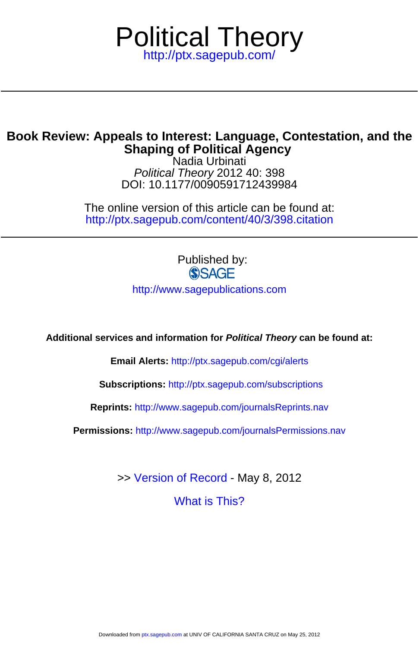

## **Shaping of Political Agency Book Review: Appeals to Interest: Language, Contestation, and the**

DOI: 10.1177/0090591712439984 Political Theory 2012 40: 398 Nadia Urbinati

<http://ptx.sagepub.com/content/40/3/398.citation> The online version of this article can be found at:

> Published by:<br>
> SAGE <http://www.sagepublications.com>

**Additional services and information for Political Theory can be found at:**

**Email Alerts:** <http://ptx.sagepub.com/cgi/alerts>

**Subscriptions:** <http://ptx.sagepub.com/subscriptions>

**Reprints:** <http://www.sagepub.com/journalsReprints.nav>

**Permissions:** <http://www.sagepub.com/journalsPermissions.nav>

>> [Version of Record -](http://ptx.sagepub.com/content/40/3/398.full.pdf) May 8, 2012

[What is This?](http://online.sagepub.com/site/sphelp/vorhelp.xhtml)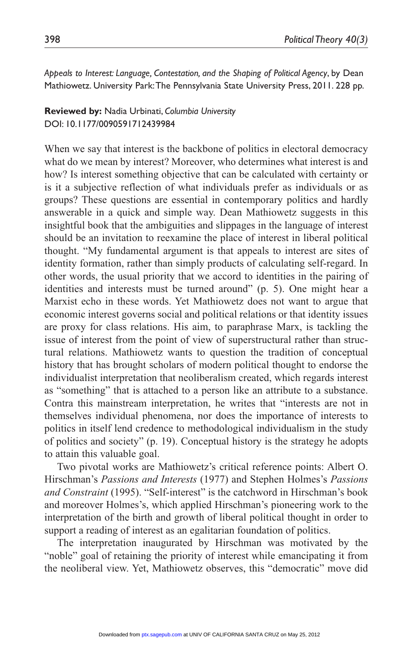*Appeals to Interest: Language, Contestation, and the Shaping of Political Agency*, by Dean Mathiowetz. University Park: The Pennsylvania State University Press, 2011. 228 pp.

**Reviewed by:** Nadia Urbinati, *Columbia University* DOI: 10.1177/0090591712439984

When we say that interest is the backbone of politics in electoral democracy what do we mean by interest? Moreover, who determines what interest is and how? Is interest something objective that can be calculated with certainty or is it a subjective reflection of what individuals prefer as individuals or as groups? These questions are essential in contemporary politics and hardly answerable in a quick and simple way. Dean Mathiowetz suggests in this insightful book that the ambiguities and slippages in the language of interest should be an invitation to reexamine the place of interest in liberal political thought. "My fundamental argument is that appeals to interest are sites of identity formation, rather than simply products of calculating self-regard. In other words, the usual priority that we accord to identities in the pairing of identities and interests must be turned around" (p. 5). One might hear a Marxist echo in these words. Yet Mathiowetz does not want to argue that economic interest governs social and political relations or that identity issues are proxy for class relations. His aim, to paraphrase Marx, is tackling the issue of interest from the point of view of superstructural rather than structural relations. Mathiowetz wants to question the tradition of conceptual history that has brought scholars of modern political thought to endorse the individualist interpretation that neoliberalism created, which regards interest as "something" that is attached to a person like an attribute to a substance. Contra this mainstream interpretation, he writes that "interests are not in themselves individual phenomena, nor does the importance of interests to politics in itself lend credence to methodological individualism in the study of politics and society" (p. 19). Conceptual history is the strategy he adopts to attain this valuable goal.

Two pivotal works are Mathiowetz's critical reference points: Albert O. Hirschman's *Passions and Interests* (1977) and Stephen Holmes's *Passions and Constraint* (1995). "Self-interest" is the catchword in Hirschman's book and moreover Holmes's, which applied Hirschman's pioneering work to the interpretation of the birth and growth of liberal political thought in order to support a reading of interest as an egalitarian foundation of politics.

The interpretation inaugurated by Hirschman was motivated by the "noble" goal of retaining the priority of interest while emancipating it from the neoliberal view. Yet, Mathiowetz observes, this "democratic" move did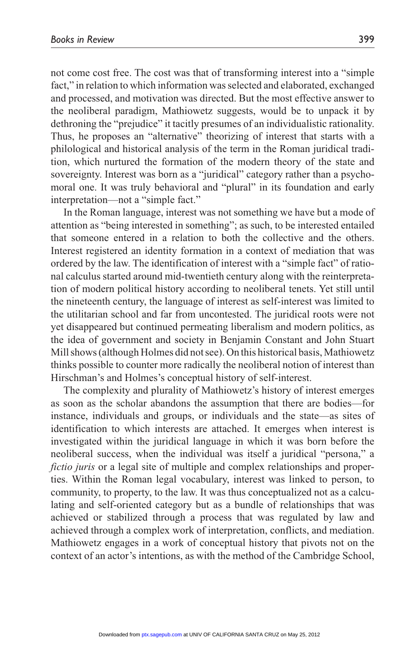not come cost free. The cost was that of transforming interest into a "simple fact," in relation to which information was selected and elaborated, exchanged and processed, and motivation was directed. But the most effective answer to the neoliberal paradigm, Mathiowetz suggests, would be to unpack it by dethroning the "prejudice" it tacitly presumes of an individualistic rationality. Thus, he proposes an "alternative" theorizing of interest that starts with a philological and historical analysis of the term in the Roman juridical tradition, which nurtured the formation of the modern theory of the state and sovereignty. Interest was born as a "juridical" category rather than a psychomoral one. It was truly behavioral and "plural" in its foundation and early interpretation—not a "simple fact."

In the Roman language, interest was not something we have but a mode of attention as "being interested in something"; as such, to be interested entailed that someone entered in a relation to both the collective and the others. Interest registered an identity formation in a context of mediation that was ordered by the law. The identification of interest with a "simple fact" of rational calculus started around mid-twentieth century along with the reinterpretation of modern political history according to neoliberal tenets. Yet still until the nineteenth century, the language of interest as self-interest was limited to the utilitarian school and far from uncontested. The juridical roots were not yet disappeared but continued permeating liberalism and modern politics, as the idea of government and society in Benjamin Constant and John Stuart Mill shows (although Holmes did not see). On this historical basis, Mathiowetz thinks possible to counter more radically the neoliberal notion of interest than Hirschman's and Holmes's conceptual history of self-interest.

The complexity and plurality of Mathiowetz's history of interest emerges as soon as the scholar abandons the assumption that there are bodies—for instance, individuals and groups, or individuals and the state—as sites of identification to which interests are attached. It emerges when interest is investigated within the juridical language in which it was born before the neoliberal success, when the individual was itself a juridical "persona," a *fictio juris* or a legal site of multiple and complex relationships and properties. Within the Roman legal vocabulary, interest was linked to person, to community, to property, to the law. It was thus conceptualized not as a calculating and self-oriented category but as a bundle of relationships that was achieved or stabilized through a process that was regulated by law and achieved through a complex work of interpretation, conflicts, and mediation. Mathiowetz engages in a work of conceptual history that pivots not on the context of an actor's intentions, as with the method of the Cambridge School,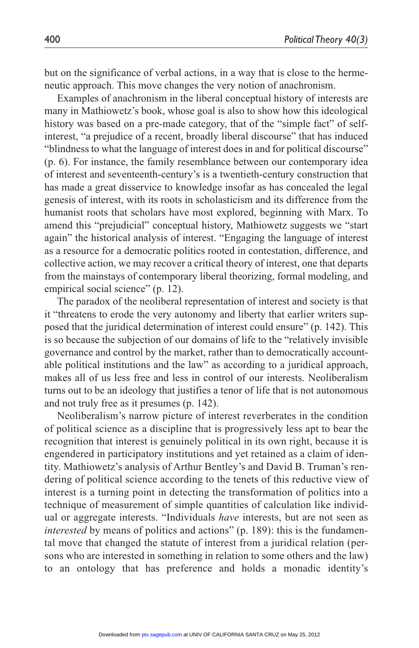but on the significance of verbal actions, in a way that is close to the hermeneutic approach. This move changes the very notion of anachronism.

Examples of anachronism in the liberal conceptual history of interests are many in Mathiowetz's book, whose goal is also to show how this ideological history was based on a pre-made category, that of the "simple fact" of selfinterest, "a prejudice of a recent, broadly liberal discourse" that has induced "blindness to what the language of interest does in and for political discourse" (p. 6). For instance, the family resemblance between our contemporary idea of interest and seventeenth-century's is a twentieth-century construction that has made a great disservice to knowledge insofar as has concealed the legal genesis of interest, with its roots in scholasticism and its difference from the humanist roots that scholars have most explored, beginning with Marx. To amend this "prejudicial" conceptual history, Mathiowetz suggests we "start again" the historical analysis of interest. "Engaging the language of interest as a resource for a democratic politics rooted in contestation, difference, and collective action, we may recover a critical theory of interest, one that departs from the mainstays of contemporary liberal theorizing, formal modeling, and empirical social science" (p. 12).

The paradox of the neoliberal representation of interest and society is that it "threatens to erode the very autonomy and liberty that earlier writers supposed that the juridical determination of interest could ensure" (p. 142). This is so because the subjection of our domains of life to the "relatively invisible governance and control by the market, rather than to democratically accountable political institutions and the law" as according to a juridical approach, makes all of us less free and less in control of our interests. Neoliberalism turns out to be an ideology that justifies a tenor of life that is not autonomous and not truly free as it presumes (p. 142).

Neoliberalism's narrow picture of interest reverberates in the condition of political science as a discipline that is progressively less apt to bear the recognition that interest is genuinely political in its own right, because it is engendered in participatory institutions and yet retained as a claim of identity. Mathiowetz's analysis of Arthur Bentley's and David B. Truman's rendering of political science according to the tenets of this reductive view of interest is a turning point in detecting the transformation of politics into a technique of measurement of simple quantities of calculation like individual or aggregate interests. "Individuals *have* interests, but are not seen as *interested* by means of politics and actions" (p. 189): this is the fundamental move that changed the statute of interest from a juridical relation (persons who are interested in something in relation to some others and the law) to an ontology that has preference and holds a monadic identity's